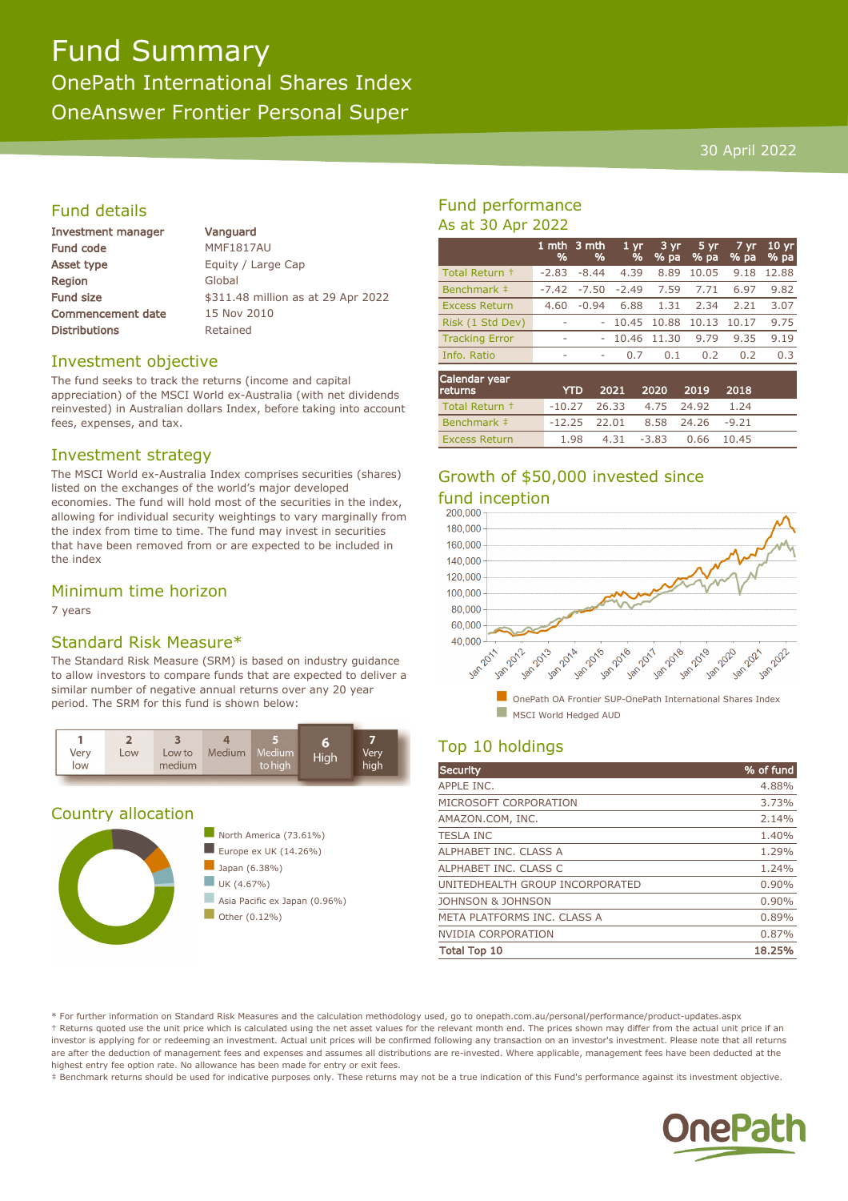# Fund Summary OnePath International Shares Index OneAnswer Frontier Personal Super

#### 30 April 2022

### Fund details

| <b>Investment manager</b> | Vanguard                           |
|---------------------------|------------------------------------|
| <b>Fund code</b>          | <b>MMF1817AU</b>                   |
| Asset type                | Equity / Large Cap                 |
| Region                    | Global                             |
| Fund size                 | \$311.48 million as at 29 Apr 2022 |
| <b>Commencement date</b>  | 15 Nov 2010                        |
| <b>Distributions</b>      | Retained                           |
|                           |                                    |

#### Investment objective

The fund seeks to track the returns (income and capital appreciation) of the MSCI World ex-Australia (with net dividends reinvested) in Australian dollars Index, before taking into account fees, expenses, and tax.

#### Investment strategy

The MSCI World ex-Australia Index comprises securities (shares) listed on the exchanges of the world's major developed economies. The fund will hold most of the securities in the index, allowing for individual security weightings to vary marginally from the index from time to time. The fund may invest in securities that have been removed from or are expected to be included in the index

#### Minimum time horizon

7 years

### Standard Risk Measure\*

The Standard Risk Measure (SRM) is based on industry guidance to allow investors to compare funds that are expected to deliver a similar number of negative annual returns over any 20 year period. The SRM for this fund is shown below:



#### Country allocation



## Fund performance As at 30 Apr 2022

|                          | 1 mth<br>% | '3 mth<br>% | 1 <sub>yr</sub><br>$\frac{9}{6}$ | $3 \, yr$<br>$%$ pa | $5 \, yr$<br>% pa | $7 \,\mathrm{yr}$<br>% pa | 10 <sub>yr</sub><br>% pa |
|--------------------------|------------|-------------|----------------------------------|---------------------|-------------------|---------------------------|--------------------------|
| Total Return +           | $-2.83$    | $-8.44$     | 4.39                             | 8.89                | 10.05             | 9.18                      | 12.88                    |
| Benchmark ‡              | $-7.42$    | $-7.50$     | $-2.49$                          | 7.59                | 7.71              | 6.97                      | 9.82                     |
| <b>Excess Return</b>     | 4.60       | $-0.94$     | 6.88                             | 1.31                | 2.34              | 2.21                      | 3.07                     |
| Risk (1 Std Dev)         |            |             | 10.45                            | 10.88               | 10.13             | 10.17                     | 9.75                     |
| <b>Tracking Error</b>    | -          | ۰           | 10.46                            | 11.30               | 9.79              | 9.35                      | 9.19                     |
| Info. Ratio              | ۰          | ۰           | 0.7                              | 0.1                 | 0.2               | 0.2                       | 0.3                      |
| Calendar year<br>returns |            | YTD         | 2021                             | 2020                | 2019              | 2018                      |                          |

| returns l      |                                   | YTD 2021 2020 2019 2018 |                       |      |  |
|----------------|-----------------------------------|-------------------------|-----------------------|------|--|
| Total Return + | $-10.27$ 26.33 4.75 24.92         |                         |                       | 1.24 |  |
| Benchmark ‡    | $-12.25$ 22.01 8.58 24.26 $-9.21$ |                         |                       |      |  |
| Excess Return  | 1.98                              |                         | 4.31 -3.83 0.66 10.45 |      |  |

# Growth of \$50,000 invested since fund inception<br>200.000



# Top 10 holdings

| Security                        | % of fund |
|---------------------------------|-----------|
| APPLE INC.                      | 4.88%     |
| MICROSOFT CORPORATION           | 3.73%     |
| AMAZON.COM, INC.                | 2.14%     |
| <b>TESLA INC</b>                | 1.40%     |
| ALPHABET INC. CLASS A           | 1.29%     |
| ALPHABET INC. CLASS C           | 1.24%     |
| UNITEDHEALTH GROUP INCORPORATED | 0.90%     |
| JOHNSON & JOHNSON               | 0.90%     |
| META PLATFORMS INC. CLASS A     | 0.89%     |
| <b>NVIDIA CORPORATION</b>       | 0.87%     |
| <b>Total Top 10</b>             | 18.25%    |

\* For further information on Standard Risk Measures and the calculation methodology used, go to onepath.com.au/personal/performance/product-updates.aspx † Returns quoted use the unit price which is calculated using the net asset values for the relevant month end. The prices shown may differ from the actual unit price if an investor is applying for or redeeming an investment. Actual unit prices will be confirmed following any transaction on an investor's investment. Please note that all returns are after the deduction of management fees and expenses and assumes all distributions are re-invested. Where applicable, management fees have been deducted at the highest entry fee option rate. No allowance has been made for entry or exit fees.

‡ Benchmark returns should be used for indicative purposes only. These returns may not be a true indication of this Fund's performance against its investment objective.